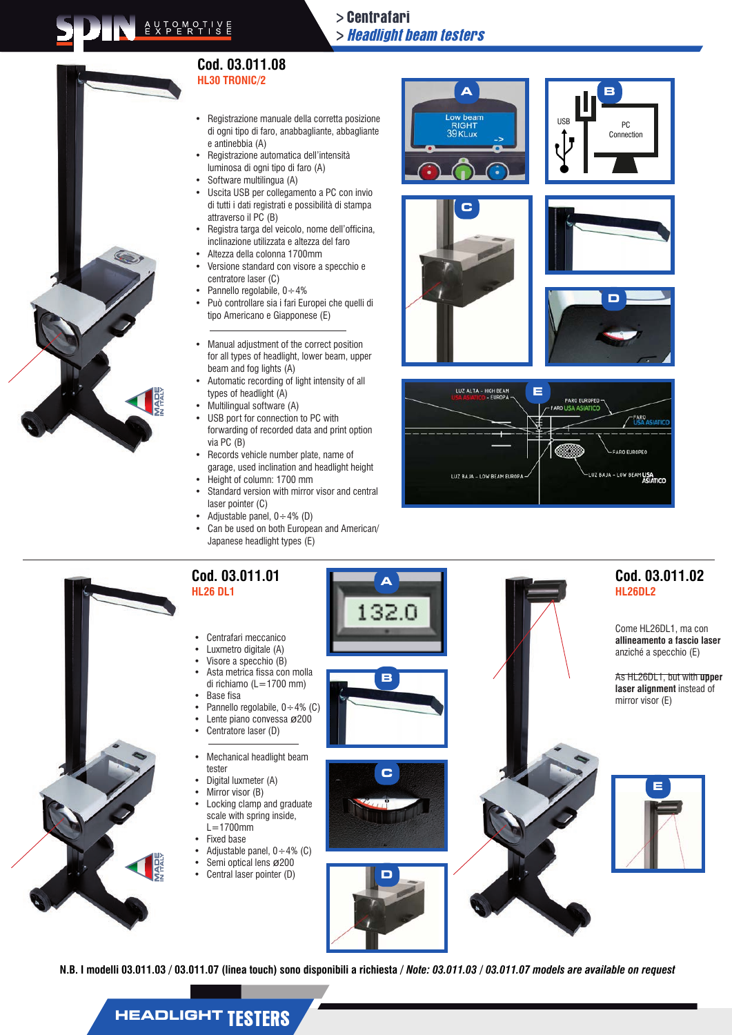## > Centrafari > Headlight beam testers



#### **Cod. 03.011.08 HL30 TRONIC/2**

- • Registrazione manuale della corretta posizione di ogni tipo di faro, anabbagliante, abbagliante e antinebbia (A)
- Registrazione automatica dell'intensità luminosa di ogni tipo di faro (A)
- Software multilingua (A)
- Uscita USB per collegamento a PC con invio di tutti i dati registrati e possibilità di stampa attraverso il PC (B)
- Registra targa del veicolo, nome dell'officina, inclinazione utilizzata e altezza del faro
- Altezza della colonna 1700mm
- Versione standard con visore a specchio e centratore laser (C)
- Pannello regolabile,  $0 \div 4\%$
- Può controllare sia i fari Europei che quelli di tipo Americano e Giapponese (E)
- • Manual adjustment of the correct position for all types of headlight, lower beam, upper beam and fog lights (A)
- Automatic recording of light intensity of all types of headlight (A)
- Multilingual software (A)
- USB port for connection to PC with forwarding of recorded data and print option via PC (B)
- Records vehicle number plate, name of garage, used inclination and headlight height
- Height of column: 1700 mm
- Standard version with mirror visor and central laser pointer (C)
- Adjustable panel,  $0 \div 4\%$  (D)
- Can be used on both European and American/ Japanese headlight types (E)











# **A** З

**B**

- Visore a specchio (B) Asta metrica fissa con molla di richiamo (L=1700 mm)
- **Base fisa**
- Pannello regolabile,  $0 \div 4\%$  (C)
- Lente piano convessa ø200
- Centratore laser (D)
- Mechanical headlight beam tester
- Digital luxmeter (A)
- Mirror visor (B) Locking clamp and graduate
- scale with spring inside,  $L=1700$ mm
- **Fixed base**
- Adjustable panel,  $0 \div 4\%$  (C)
- Semi optical lens ø 200
- Central laser pointer (D)



**D**



### **Cod. 03.011.02 HL26DL2**

Come HL26DL1, ma con **allineamento a fascio laser**  anziché a specchio (E)

As HL26DL1, but with **upper laser alignment** instead of mirror visor  $(E)$ 



**N.B. I modelli 03.011.03 / 03.011.07 (linea touch) sono disponibili a richiesta /** *Note: 03.011.03 / 03.011.07 models are available on request*

# **HEADLIGHT TESTERS**